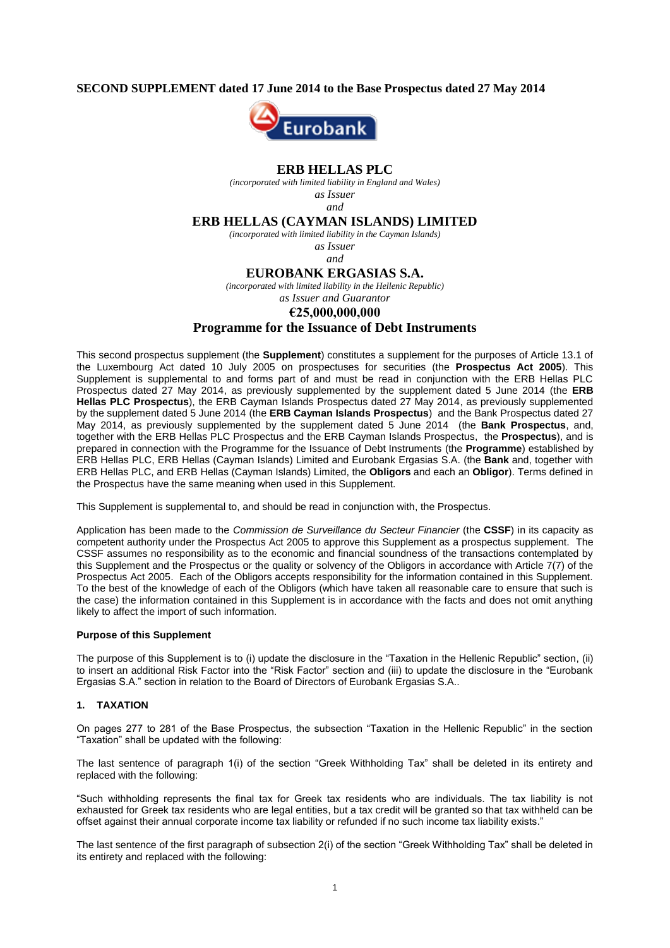### **SECOND SUPPLEMENT dated 17 June 2014 to the Base Prospectus dated 27 May 2014**



### **ERB HELLAS PLC**

*(incorporated with limited liability in England and Wales) as Issuer*

*and*

### **ERB HELLAS (CAYMAN ISLANDS) LIMITED**

*(incorporated with limited liability in the Cayman Islands)*

*as Issuer*

# *and*

#### **EUROBANK ERGASIAS S.A.**

*(incorporated with limited liability in the Hellenic Republic)*

# *as Issuer and Guarantor*

# **€25,000,000,000**

# **Programme for the Issuance of Debt Instruments**

This second prospectus supplement (the **Supplement**) constitutes a supplement for the purposes of Article 13.1 of the Luxembourg Act dated 10 July 2005 on prospectuses for securities (the **Prospectus Act 2005**). This Supplement is supplemental to and forms part of and must be read in conjunction with the ERB Hellas PLC Prospectus dated 27 May 2014, as previously supplemented by the supplement dated 5 June 2014 (the **ERB Hellas PLC Prospectus**), the ERB Cayman Islands Prospectus dated 27 May 2014, as previously supplemented by the supplement dated 5 June 2014 (the **ERB Cayman Islands Prospectus**) and the Bank Prospectus dated 27 May 2014, as previously supplemented by the supplement dated 5 June 2014 (the **Bank Prospectus**, and, together with the ERB Hellas PLC Prospectus and the ERB Cayman Islands Prospectus, the **Prospectus**), and is prepared in connection with the Programme for the Issuance of Debt Instruments (the **Programme**) established by ERB Hellas PLC, ERB Hellas (Cayman Islands) Limited and Eurobank Ergasias S.A. (the **Bank** and, together with ERB Hellas PLC, and ERB Hellas (Cayman Islands) Limited, the **Obligors** and each an **Obligor**). Terms defined in the Prospectus have the same meaning when used in this Supplement.

This Supplement is supplemental to, and should be read in conjunction with, the Prospectus.

Application has been made to the *Commission de Surveillance du Secteur Financier* (the **CSSF**) in its capacity as competent authority under the Prospectus Act 2005 to approve this Supplement as a prospectus supplement. The CSSF assumes no responsibility as to the economic and financial soundness of the transactions contemplated by this Supplement and the Prospectus or the quality or solvency of the Obligors in accordance with Article 7(7) of the Prospectus Act 2005. Each of the Obligors accepts responsibility for the information contained in this Supplement. To the best of the knowledge of each of the Obligors (which have taken all reasonable care to ensure that such is the case) the information contained in this Supplement is in accordance with the facts and does not omit anything likely to affect the import of such information.

#### **Purpose of this Supplement**

The purpose of this Supplement is to (i) update the disclosure in the "Taxation in the Hellenic Republic" section, (ii) to insert an additional Risk Factor into the "Risk Factor" section and (iii) to update the disclosure in the "Eurobank Ergasias S.A." section in relation to the Board of Directors of Eurobank Ergasias S.A..

#### **1. TAXATION**

On pages 277 to 281 of the Base Prospectus, the subsection "Taxation in the Hellenic Republic" in the section "Taxation" shall be updated with the following:

The last sentence of paragraph 1(i) of the section "Greek Withholding Tax" shall be deleted in its entirety and replaced with the following:

"Such withholding represents the final tax for Greek tax residents who are individuals. The tax liability is not exhausted for Greek tax residents who are legal entities, but a tax credit will be granted so that tax withheld can be offset against their annual corporate income tax liability or refunded if no such income tax liability exists."

The last sentence of the first paragraph of subsection 2(i) of the section "Greek Withholding Tax" shall be deleted in its entirety and replaced with the following: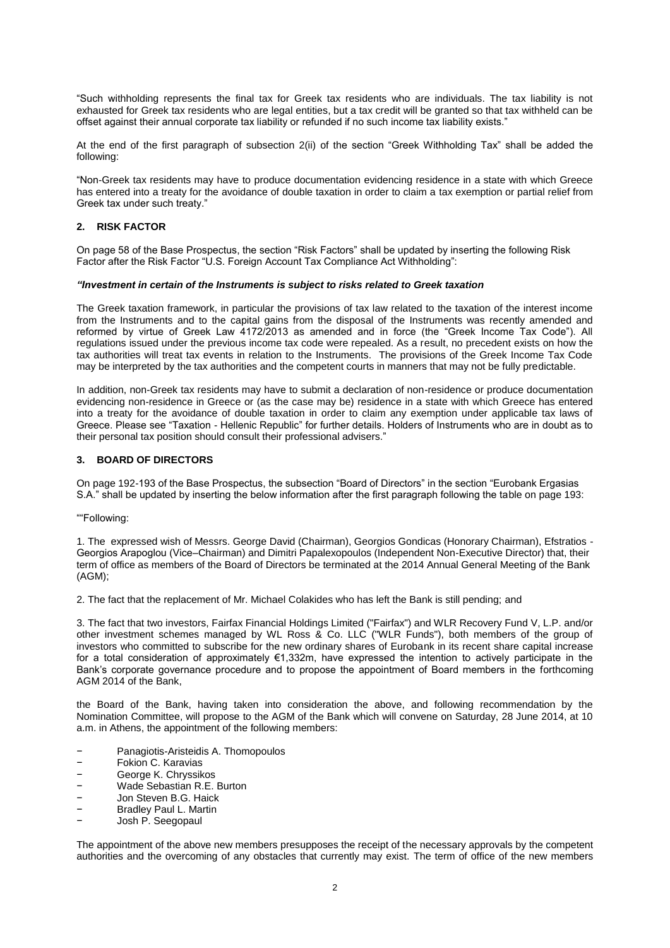"Such withholding represents the final tax for Greek tax residents who are individuals. The tax liability is not exhausted for Greek tax residents who are legal entities, but a tax credit will be granted so that tax withheld can be offset against their annual corporate tax liability or refunded if no such income tax liability exists."

At the end of the first paragraph of subsection 2(ii) of the section "Greek Withholding Tax" shall be added the following:

"Non-Greek tax residents may have to produce documentation evidencing residence in a state with which Greece has entered into a treaty for the avoidance of double taxation in order to claim a tax exemption or partial relief from Greek tax under such treaty."

### **2. RISK FACTOR**

On page 58 of the Base Prospectus, the section "Risk Factors" shall be updated by inserting the following Risk Factor after the Risk Factor "U.S. Foreign Account Tax Compliance Act Withholding":

#### *"Investment in certain of the Instruments is subject to risks related to Greek taxation*

The Greek taxation framework, in particular the provisions of tax law related to the taxation of the interest income from the Instruments and to the capital gains from the disposal of the Instruments was recently amended and reformed by virtue of Greek Law 4172/2013 as amended and in force (the "Greek Income Tax Code"). All regulations issued under the previous income tax code were repealed. As a result, no precedent exists on how the tax authorities will treat tax events in relation to the Instruments. The provisions of the Greek Income Tax Code may be interpreted by the tax authorities and the competent courts in manners that may not be fully predictable.

In addition, non-Greek tax residents may have to submit a declaration of non-residence or produce documentation evidencing non-residence in Greece or (as the case may be) residence in a state with which Greece has entered into a treaty for the avoidance of double taxation in order to claim any exemption under applicable tax laws of Greece. Please see "Taxation - Hellenic Republic" for further details. Holders of Instruments who are in doubt as to their personal tax position should consult their professional advisers."

#### **3. BOARD OF DIRECTORS**

On page 192-193 of the Base Prospectus, the subsection "Board of Directors" in the section "Eurobank Ergasias S.A." shall be updated by inserting the below information after the first paragraph following the table on page 193:

""Following:

1. The expressed wish of Messrs. George David (Chairman), Georgios Gondicas (Honorary Chairman), Efstratios - Georgios Αrapoglou (Vice–Chairman) and Dimitri Papalexopoulos (Independent Non-Executive Director) that, their term of office as members of the Board of Directors be terminated at the 2014 Annual General Meeting of the Bank (AGM);

2. The fact that the replacement of Mr. Michael Colakides who has left the Bank is still pending; and

3. The fact that two investors, Fairfax Financial Holdings Limited ("Fairfax") and WLR Recovery Fund V, L.P. and/or other investment schemes managed by WL Ross & Co. LLC ("WLR Funds"), both members of the group of investors who committed to subscribe for the new ordinary shares of Eurobank in its recent share capital increase for a total consideration of approximately €1,332m, have expressed the intention to actively participate in the Bank's corporate governance procedure and to propose the appointment of Board members in the forthcoming AGM 2014 of the Bank,

the Board of the Bank, having taken into consideration the above, and following recommendation by the Nomination Committee, will propose to the AGM of the Bank which will convene on Saturday, 28 June 2014, at 10 a.m. in Athens, the appointment of the following members:

- − Panagiotis-Aristeidis A. Thomopoulos
- − Fokion C. Karavias
- − George K. Chryssikos
- − Wade Sebastian R.E. Burton
- − Jon Steven B.G. Haick<br>− Rradley Paul J Martin
- − Bradley Paul L. Martin
- − Josh P. Seegopaul

The appointment of the above new members presupposes the receipt of the necessary approvals by the competent authorities and the overcoming of any obstacles that currently may exist. The term of office of the new members